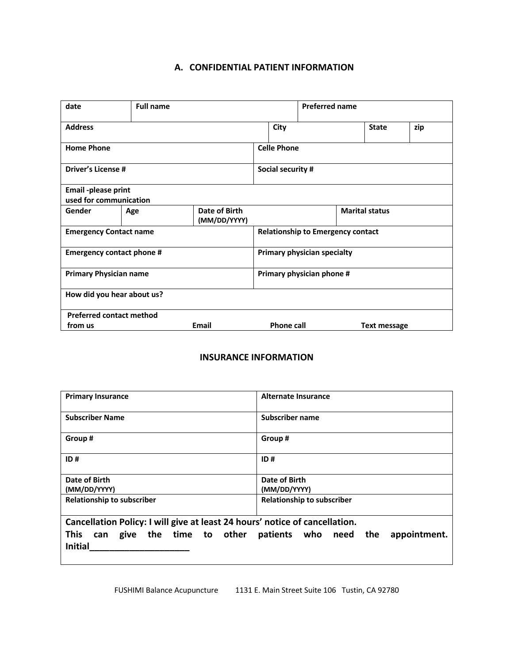## **A. CONFIDENTIAL PATIENT INFORMATION**

| date                                          | <b>Full name</b> |                               |                                          |                                   |              |  | <b>Preferred name</b> |     |  |  |
|-----------------------------------------------|------------------|-------------------------------|------------------------------------------|-----------------------------------|--------------|--|-----------------------|-----|--|--|
| City<br><b>Address</b>                        |                  |                               |                                          |                                   | <b>State</b> |  |                       | zip |  |  |
| <b>Home Phone</b>                             |                  |                               |                                          | <b>Celle Phone</b>                |              |  |                       |     |  |  |
| <b>Driver's License #</b>                     |                  |                               |                                          | Social security #                 |              |  |                       |     |  |  |
| Email -please print<br>used for communication |                  |                               |                                          |                                   |              |  |                       |     |  |  |
| Gender                                        | Age              | Date of Birth<br>(MM/DD/YYYY) | <b>Marital status</b>                    |                                   |              |  |                       |     |  |  |
| <b>Emergency Contact name</b>                 |                  |                               | <b>Relationship to Emergency contact</b> |                                   |              |  |                       |     |  |  |
| <b>Emergency contact phone #</b>              |                  |                               | Primary physician specialty              |                                   |              |  |                       |     |  |  |
| <b>Primary Physician name</b>                 |                  |                               | Primary physician phone #                |                                   |              |  |                       |     |  |  |
| How did you hear about us?                    |                  |                               |                                          |                                   |              |  |                       |     |  |  |
| <b>Preferred contact method</b>               |                  |                               |                                          |                                   |              |  |                       |     |  |  |
| Email<br>from us                              |                  |                               |                                          | <b>Phone call</b><br>Text message |              |  |                       |     |  |  |

## **INSURANCE INFORMATION**

| <b>Primary Insurance</b>                                                    | Alternate Insurance                   |
|-----------------------------------------------------------------------------|---------------------------------------|
| <b>Subscriber Name</b>                                                      | Subscriber name                       |
| Group #                                                                     | Group#                                |
| ID#                                                                         | ID#                                   |
| Date of Birth                                                               | Date of Birth                         |
| (MM/DD/YYYY)                                                                | (MM/DD/YYYY)                          |
| <b>Relationship to subscriber</b>                                           | <b>Relationship to subscriber</b>     |
| Cancellation Policy: I will give at least 24 hours' notice of cancellation. |                                       |
| <b>This</b><br>give the time to other<br>can<br><b>Initial</b>              | patients who need the<br>appointment. |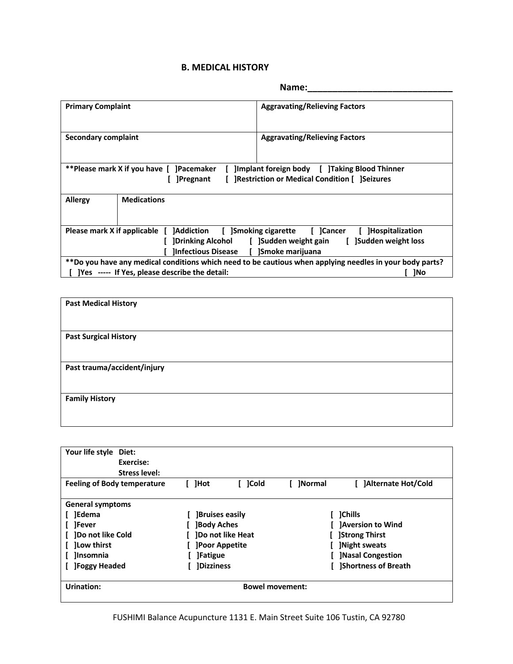## **B. MEDICAL HISTORY**

|                                                                                                                                                                                                                                                                                                                          |                                                                                                                                                                   | Name:                                |  |  |  |  |
|--------------------------------------------------------------------------------------------------------------------------------------------------------------------------------------------------------------------------------------------------------------------------------------------------------------------------|-------------------------------------------------------------------------------------------------------------------------------------------------------------------|--------------------------------------|--|--|--|--|
| <b>Primary Complaint</b>                                                                                                                                                                                                                                                                                                 |                                                                                                                                                                   | <b>Aggravating/Relieving Factors</b> |  |  |  |  |
| Secondary complaint                                                                                                                                                                                                                                                                                                      |                                                                                                                                                                   | <b>Aggravating/Relieving Factors</b> |  |  |  |  |
|                                                                                                                                                                                                                                                                                                                          | **Please mark X if you have [ ]Pacemaker<br>[ ]Implant foreign body [ ]Taking Blood Thinner<br>[ ]Restriction or Medical Condition [ ]Seizures<br><b>Pregnant</b> |                                      |  |  |  |  |
| <b>Allergy</b>                                                                                                                                                                                                                                                                                                           | <b>Medications</b>                                                                                                                                                |                                      |  |  |  |  |
| Please mark X if applicable [ ]Addiction [ ]Smoking cigarette [ ]Cancer [ ]Hospitalization<br>[Drinking Alcohol [15 ] [Sudden weight gain [15 ] [Sudden weight loss<br>Infectious Disease [ ]Smoke marijuana<br>**Do you have any medical conditions which need to be cautious when applying needles in your body parts? |                                                                                                                                                                   |                                      |  |  |  |  |
| [ ] Yes ----- If Yes, please describe the detail:<br>1No                                                                                                                                                                                                                                                                 |                                                                                                                                                                   |                                      |  |  |  |  |

| <b>Past Medical History</b>  |  |  |
|------------------------------|--|--|
| <b>Past Surgical History</b> |  |  |
| Past trauma/accident/injury  |  |  |
| <b>Family History</b>        |  |  |

| Your life style Diet:<br>Exercise:<br><b>Stress level:</b> |                          |                                         |
|------------------------------------------------------------|--------------------------|-----------------------------------------|
| <b>Feeling of Body temperature</b>                         | ]Cold<br><b>Hot</b>      | [ ]Normal<br><b>JAIternate Hot/Cold</b> |
| <b>General symptoms</b>                                    |                          |                                         |
| ]Edema                                                     | <b>Bruises easily</b>    | <b>1Chills</b>                          |
| <b>T</b> Fever                                             | <b>Body Aches</b>        | <b>Aversion to Wind</b>                 |
| <b>]Do not like Cold</b>                                   | <b>IDo not like Heat</b> | <b>Strong Thirst</b>                    |
| <b>ILow thirst</b>                                         | <b>JPoor Appetite</b>    | <b>Night sweats</b>                     |
| <b>Insomnia</b>                                            | <b>JFatigue</b>          | <b>Nasal Congestion</b>                 |
| <b>JFoggy Headed</b>                                       | <b>IDizziness</b>        | <b>Shortness of Breath</b>              |
| Urination:                                                 | <b>Bowel movement:</b>   |                                         |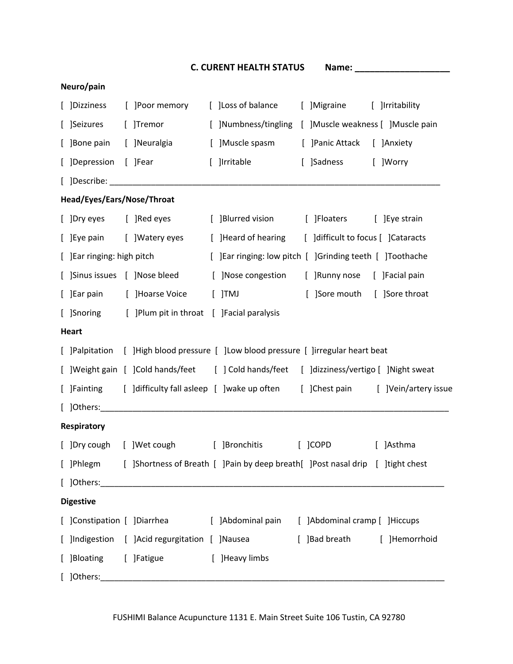|                             |                                                      | <b>C. CURENT HEALTH STATUS</b>                                                            |                                    |                                    |
|-----------------------------|------------------------------------------------------|-------------------------------------------------------------------------------------------|------------------------------------|------------------------------------|
| Neuro/pain                  |                                                      |                                                                                           |                                    |                                    |
| [ ]Dizziness                | [ ]Poor memory                                       | [ ] Loss of balance                                                                       | [ ]Migraine                        | [ ]Irritability                    |
| [ ]Seizures                 | [ ]Tremor                                            | [ ]Numbness/tingling                                                                      | [ ]Muscle weakness [ ]Muscle pain  |                                    |
| [ ]Bone pain                | [ ]Neuralgia                                         | [ ]Muscle spasm                                                                           | [ ] Panic Attack [ ] Anxiety       |                                    |
| [ ]Depression               | [ ]Fear                                              | [ ]Irritable                                                                              | [ ]Sadness                         | [ ]Worry                           |
|                             |                                                      |                                                                                           |                                    |                                    |
| Head/Eyes/Ears/Nose/Throat  |                                                      |                                                                                           |                                    |                                    |
| [ ]Dry eyes [ ]Red eyes     |                                                      | [ ]Blurred vision                                                                         | [ ]Floaters                        | [ ] Eye strain                     |
|                             | [ ]Eye pain [ ]Watery eyes                           | [ ]Heard of hearing                                                                       | [ ]difficult to focus [ ]Cataracts |                                    |
| [ ] Ear ringing: high pitch |                                                      | [ ] Ear ringing: low pitch [ ] Grinding teeth [ ] Toothache                               |                                    |                                    |
|                             | [ ]Sinus issues [ ]Nose bleed                        | [ ]Nose congestion                                                                        | [ ]Runny nose [ ]Facial pain       |                                    |
| [ ]Ear pain                 | [ ]Hoarse Voice                                      | $[$ ]TMJ                                                                                  | ]Sore mouth<br>f.                  | [ ]Sore throat                     |
|                             | [ ]Snoring [ ]Plum pit in throat [ ]Facial paralysis |                                                                                           |                                    |                                    |
| <b>Heart</b>                |                                                      |                                                                                           |                                    |                                    |
|                             |                                                      | [ ]Palpitation [ ]High blood pressure [ ]Low blood pressure [ ]irregular heart beat       |                                    |                                    |
|                             |                                                      | [ ]Weight gain [ ]Cold hands/feet [ ]Cold hands/feet [ ]dizziness/vertigo [ ]Night sweat  |                                    |                                    |
|                             |                                                      | [ ]Fainting [ ]difficulty fall asleep [ ]wake up often                                    |                                    | [ ]Chest pain [ ]Vein/artery issue |
| $[$ ]Others:                |                                                      |                                                                                           |                                    |                                    |
| <b>Respiratory</b>          |                                                      |                                                                                           |                                    |                                    |
|                             |                                                      | [ ]Dry cough [ ]Wet cough [ ]Bronchitis                                                   | $[$ $]$ COPD                       | [ ]Asthma                          |
|                             |                                                      | [ ]Phlegm [ ]Shortness of Breath [ ]Pain by deep breath [ ]Post nasal drip [ ]tight chest |                                    |                                    |
|                             |                                                      |                                                                                           |                                    |                                    |
| <b>Digestive</b>            |                                                      |                                                                                           |                                    |                                    |
|                             |                                                      | [ ]Constipation [ ]Diarrhea [ ]Abdominal pain [ ]Abdominal cramp [ ]Hiccups               |                                    |                                    |
|                             |                                                      | [ ]Indigestion [ ]Acid regurgitation [ ]Nausea                                            | [ ]Bad breath                      | [ ]Hemorrhoid                      |
| [ ]Bloating [ ]Fatigue      |                                                      | [ ]Heavy limbs                                                                            |                                    |                                    |
|                             |                                                      |                                                                                           |                                    |                                    |